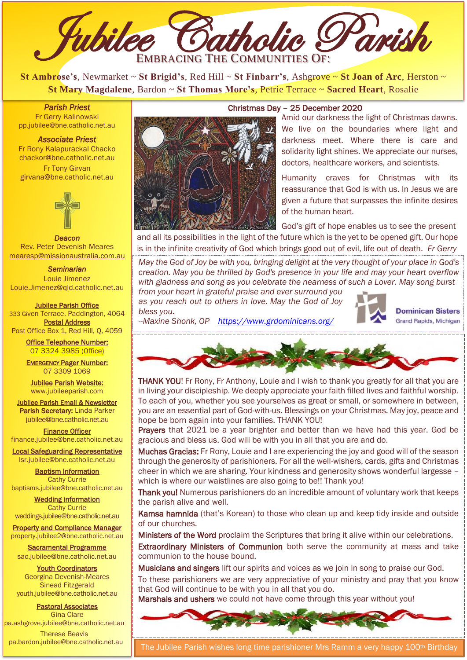

**St Ambrose's**, Newmarket ~ **St Brigid's**, Red Hill ~ **St Finbarr's**, Ashgrove ~ **St Joan of Arc**, Herston ~ **St Mary Magdalene**, Bardon ~ **St Thomas More's**, Petrie Terrace ~ **Sacred Heart**, Rosalie

*Parish Priest*  Fr Gerry Kalinowski [pp.jubilee@bne.catholic.net.au](mailto:pp.jubilee@bne.catholic.net.au)

#### *Associate Priest*

Fr Rony Kalapurackal Chacko [chackor@bne.catholic.net.au](mailto:chackor@bne.catholic.net.au) Fr Tony Girvan [girvana@bne.catholic.net.au](mailto:girvana@bne.catholic.net.au)



Deacon Rev. Peter Devenish-Meares [mearesp@missionaustralia.com.au](mailto:mearesp@missionaustralia.com.au)

*Seminarian* 

Louie Jimenez [Louie.Jimenez@qld.catholic.net.au](mailto:Louie.Jimenez@qld.catholic.net.au)

Jubilee Parish Office 333 Given Terrace, Paddington, 4064 Postal Address Post Office Box 1, Red Hill, Q, 4059

> Office Telephone Number: 07 3324 3985 (Office)

> EMERGENCY Pager Number: 07 3309 1069

Jubilee Parish Website: [www.jubileeparish.com](http://www.jubileeparish.com/)

Jubilee Parish Email & Newsletter Parish Secretary: Linda Parker [jubilee@bne.catholic.net.au](mailto:jubilee@bne.catholic.net.au)

Finance Officer [finance.jubilee@bne.catholic.net.au](mailto:finance.jubilee@bne.catholic.net.au)

Local Safeguarding Representative [lsr.jubilee@bne.catholic.net.au](mailto:lsr.jubilee@bne.catholic.net.au)

Baptism Information Cathy Currie [baptisms.jubilee@bne.catholic.net.au](mailto:baptisms.jubilee@bne.catholic.net.au)

Wedding information Cathy Currie [weddings.jubilee@bne.catholic.net.au](mailto:weddings.jubilee@bne.catholic.net.au)

Property and Compliance Manager property.jubilee2@bne.catholic.net.au

Sacramental Programme

[sac.jubilee@bne.catholic.net.au](mailto:sac.jubilee@bne.catholic.net.au) Youth Coordinators Georgina Devenish-Meares

Sinead Fitzgerald [youth.jubilee@bne.catholic.net.au](mailto:youth.jubilee@bne.catholic.net.au)

Pastoral Associates Gina Clare [pa.ashgrove.jubilee@bne.catholic.net.au](mailto:pa.ashgrove.jubilee@bne.catholic.net.au)

Therese Beavis [pa.bardon.jubilee@bne.catholic.net.au](mailto:pa.bardon.jubilee@bne.catholic.net.au)



### Christmas Day – 25 December 2020

Amid our darkness the light of Christmas dawns. We live on the boundaries where light and darkness meet. Where there is care and solidarity light shines. We appreciate our nurses, doctors, healthcare workers, and scientists.

Humanity craves for Christmas with its reassurance that God is with us. In Jesus we are given a future that surpasses the infinite desires of the human heart.

God's gift of hope enables us to see the present and all its possibilities in the light of the future which is the yet to be opened gift. Our hope

is in the infinite creativity of God which brings good out of evil, life out of death. *Fr Gerry*

 *May the God of Joy be with you, bringing delight at the very thought of your place in God's creation. May you be thrilled by God's presence in your life and may your heart overflow with gladness and song as you celebrate the nearness of such a Lover. May song burst from your heart in grateful praise and ever surround you* 

 *as you reach out to others in love. May the God of Joy bless you.* 



**Dominican Sisters** Grand Rapids, Michigan

 *--Maxine Shonk, OP <https://www.grdominicans.org/>* l,



 THANK YOU! Fr Rony, Fr Anthony, Louie and I wish to thank you greatly for all that you are in living your discipleship. We deeply appreciate your faith filled lives and faithful worship. To each of you, whether you see yourselves as great or small, or somewhere in between, you are an essential part of God-with-us. Blessings on your Christmas. May joy, peace and hope be born again into your families. THANK YOU!

Prayers that 2021 be a year brighter and better than we have had this year. God be gracious and bless us. God will be with you in all that you are and do.

which is where our waistlines are also going to be!! Thank you! Muchas Gracias: Fr Rony, Louie and I are experiencing the joy and good will of the season through the generosity of parishioners. For all the well-wishers, cards, gifts and Christmas cheer in which we are sharing. Your kindness and generosity shows wonderful largesse –

 Thank you! Numerous parishioners do an incredible amount of voluntary work that keeps the parish alive and well.

Kamsa hamnida (that's Korean) to those who clean up and keep tidy inside and outside of our churches.

Ministers of the Word proclaim the Scriptures that bring it alive within our celebrations. Extraordinary Ministers of Communion both serve the community at mass and take

communion to the house bound.

Musicians and singers lift our spirits and voices as we join in song to praise our God.

To these parishioners we are very appreciative of your ministry and pray that you know that God will continue to be with you in all that you do.

Marshals and ushers we could not have come through this year without you!